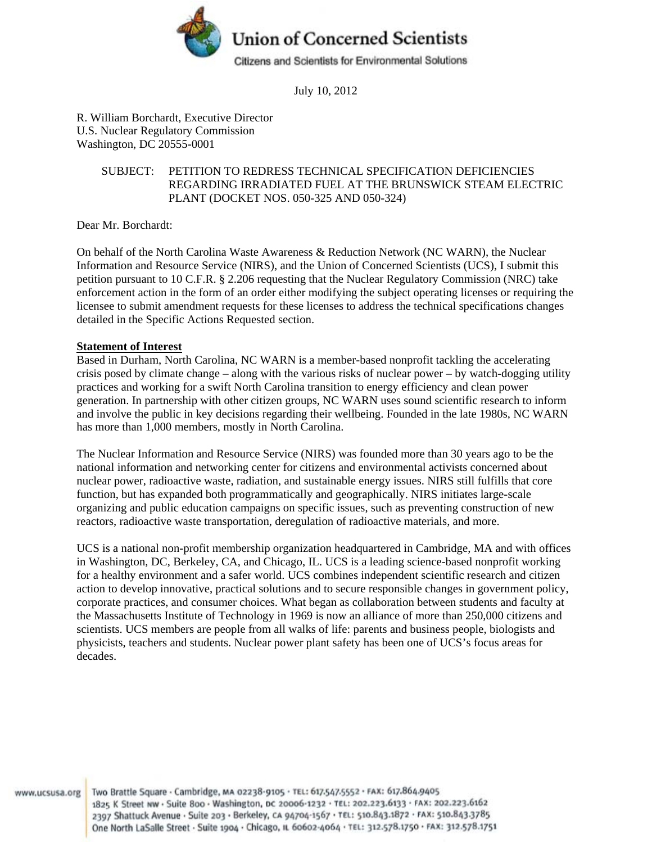

July 10, 2012

R. William Borchardt, Executive Director U.S. Nuclear Regulatory Commission Washington, DC 20555-0001

#### SUBJECT: PETITION TO REDRESS TECHNICAL SPECIFICATION DEFICIENCIES REGARDING IRRADIATED FUEL AT THE BRUNSWICK STEAM ELECTRIC PLANT (DOCKET NOS. 050-325 AND 050-324)

Dear Mr. Borchardt:

On behalf of the North Carolina Waste Awareness & Reduction Network (NC WARN), the Nuclear Information and Resource Service (NIRS), and the Union of Concerned Scientists (UCS), I submit this petition pursuant to 10 C.F.R. § 2.206 requesting that the Nuclear Regulatory Commission (NRC) take enforcement action in the form of an order either modifying the subject operating licenses or requiring the licensee to submit amendment requests for these licenses to address the technical specifications changes detailed in the Specific Actions Requested section.

#### **Statement of Interest**

Based in Durham, North Carolina, NC WARN is a member-based nonprofit tackling the accelerating crisis posed by climate change – along with the various risks of nuclear power – by watch-dogging utility practices and working for a swift North Carolina transition to energy efficiency and clean power generation. In partnership with other citizen groups, NC WARN uses sound scientific research to inform and involve the public in key decisions regarding their wellbeing. Founded in the late 1980s, NC WARN has more than 1,000 members, mostly in North Carolina.

The Nuclear Information and Resource Service (NIRS) was founded more than 30 years ago to be the national information and networking center for citizens and environmental activists concerned about nuclear power, radioactive waste, radiation, and sustainable energy issues. NIRS still fulfills that core function, but has expanded both programmatically and geographically. NIRS initiates large-scale organizing and public education campaigns on specific issues, such as preventing construction of new reactors, radioactive waste transportation, deregulation of radioactive materials, and more.

UCS is a national non-profit membership organization headquartered in Cambridge, MA and with offices in Washington, DC, Berkeley, CA, and Chicago, IL. UCS is a leading science-based nonprofit working for a healthy environment and a safer world. UCS combines independent scientific research and citizen action to develop innovative, practical solutions and to secure responsible changes in government policy, corporate practices, and consumer choices. What began as collaboration between students and faculty at the Massachusetts Institute of Technology in 1969 is now an alliance of more than 250,000 citizens and scientists. UCS members are people from all walks of life: parents and business people, biologists and physicists, teachers and students. Nuclear power plant safety has been one of UCS's focus areas for decades.

www.ucsusa.org

Two Brattle Square · Cambridge, MA 02238-9105 · TEL: 617.547.5552 · FAX: 617.864.9405 1825 K Street NW · Suite 800 · Washington, DC 20006-1232 · TEL: 202.223.6133 · FAX: 202.223.6162 2397 Shattuck Avenue · Suite 203 · Berkeley, CA 94704-1567 · TEL: 510.843.1872 · FAX: 510.843.3785 One North LaSalle Street - Suite 1904 - Chicago, IL 60602-4064 - TEL: 312.578.1750 - FAX: 312.578.1751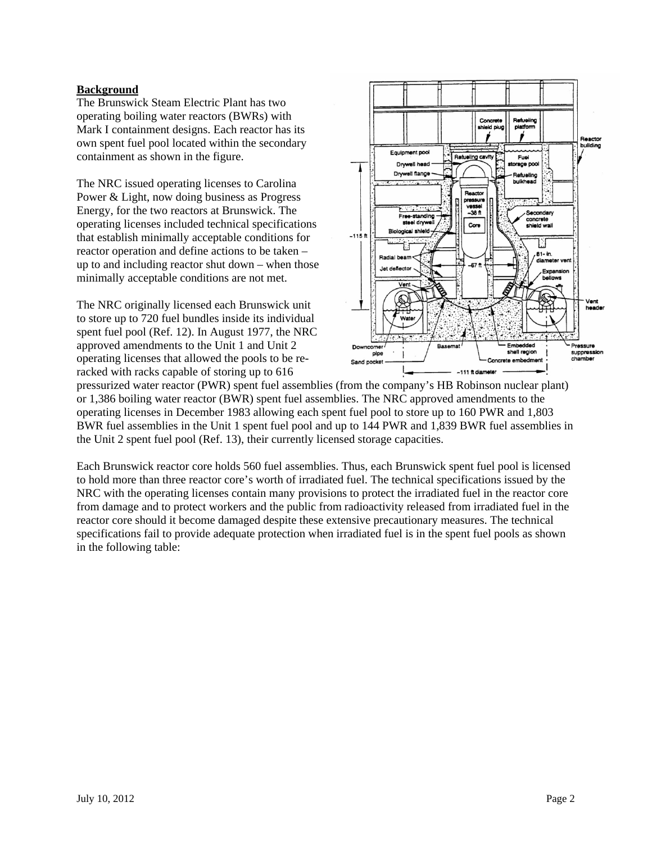#### **Background**

The Brunswick Steam Electric Plant has two operating boiling water reactors (BWRs) with Mark I containment designs. Each reactor has its own spent fuel pool located within the secondary containment as shown in the figure.

The NRC issued operating licenses to Carolina Power & Light, now doing business as Progress Energy, for the two reactors at Brunswick. The operating licenses included technical specifications that establish minimally acceptable conditions for reactor operation and define actions to be taken – up to and including reactor shut down – when those minimally acceptable conditions are not met.

The NRC originally licensed each Brunswick unit to store up to 720 fuel bundles inside its individual spent fuel pool (Ref. 12). In August 1977, the NRC approved amendments to the Unit 1 and Unit 2 operating licenses that allowed the pools to be reracked with racks capable of storing up to 616



pressurized water reactor (PWR) spent fuel assemblies (from the company's HB Robinson nuclear plant) or 1,386 boiling water reactor (BWR) spent fuel assemblies. The NRC approved amendments to the operating licenses in December 1983 allowing each spent fuel pool to store up to 160 PWR and 1,803 BWR fuel assemblies in the Unit 1 spent fuel pool and up to 144 PWR and 1,839 BWR fuel assemblies in the Unit 2 spent fuel pool (Ref. 13), their currently licensed storage capacities.

Each Brunswick reactor core holds 560 fuel assemblies. Thus, each Brunswick spent fuel pool is licensed to hold more than three reactor core's worth of irradiated fuel. The technical specifications issued by the NRC with the operating licenses contain many provisions to protect the irradiated fuel in the reactor core from damage and to protect workers and the public from radioactivity released from irradiated fuel in the reactor core should it become damaged despite these extensive precautionary measures. The technical specifications fail to provide adequate protection when irradiated fuel is in the spent fuel pools as shown in the following table: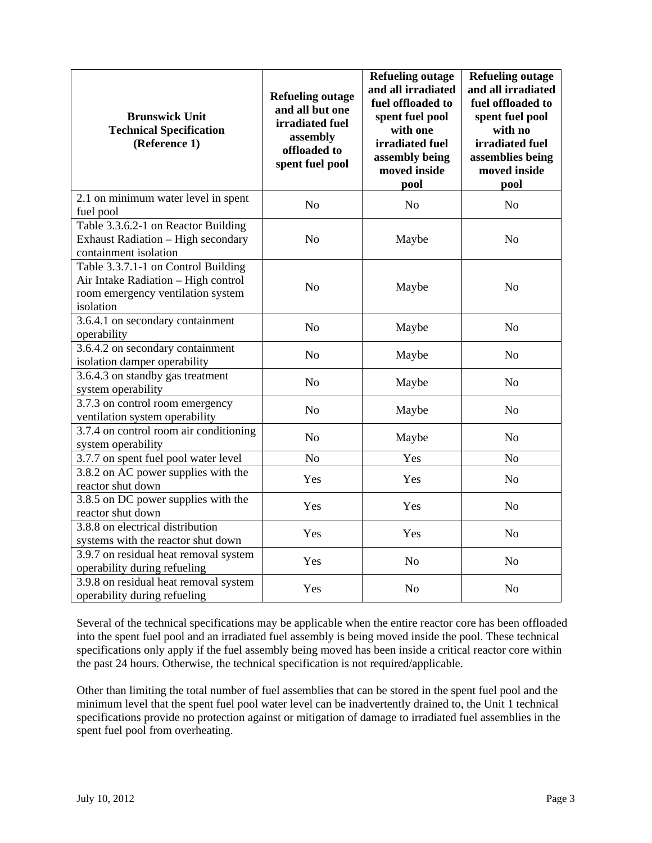| <b>Brunswick Unit</b><br><b>Technical Specification</b><br>(Reference 1)                                                     | <b>Refueling outage</b><br>and all but one<br>irradiated fuel<br>assembly<br>offloaded to<br>spent fuel pool | <b>Refueling outage</b><br>and all irradiated<br>fuel offloaded to<br>spent fuel pool<br>with one<br>irradiated fuel<br>assembly being<br>moved inside<br>pool | <b>Refueling outage</b><br>and all irradiated<br>fuel offloaded to<br>spent fuel pool<br>with no<br>irradiated fuel<br>assemblies being<br>moved inside<br>pool |
|------------------------------------------------------------------------------------------------------------------------------|--------------------------------------------------------------------------------------------------------------|----------------------------------------------------------------------------------------------------------------------------------------------------------------|-----------------------------------------------------------------------------------------------------------------------------------------------------------------|
| 2.1 on minimum water level in spent<br>fuel pool                                                                             | N <sub>0</sub>                                                                                               | N <sub>0</sub>                                                                                                                                                 | N <sub>o</sub>                                                                                                                                                  |
| Table 3.3.6.2-1 on Reactor Building<br><b>Exhaust Radiation - High secondary</b><br>containment isolation                    | N <sub>o</sub>                                                                                               | Maybe                                                                                                                                                          | N <sub>o</sub>                                                                                                                                                  |
| Table 3.3.7.1-1 on Control Building<br>Air Intake Radiation - High control<br>room emergency ventilation system<br>isolation | N <sub>o</sub>                                                                                               | Maybe                                                                                                                                                          | N <sub>o</sub>                                                                                                                                                  |
| 3.6.4.1 on secondary containment<br>operability                                                                              | N <sub>o</sub>                                                                                               | Maybe                                                                                                                                                          | N <sub>o</sub>                                                                                                                                                  |
| 3.6.4.2 on secondary containment<br>isolation damper operability                                                             | N <sub>o</sub>                                                                                               | Maybe                                                                                                                                                          | N <sub>o</sub>                                                                                                                                                  |
| 3.6.4.3 on standby gas treatment<br>system operability                                                                       | N <sub>o</sub>                                                                                               | Maybe                                                                                                                                                          | No                                                                                                                                                              |
| 3.7.3 on control room emergency<br>ventilation system operability                                                            | N <sub>o</sub>                                                                                               | Maybe                                                                                                                                                          | N <sub>o</sub>                                                                                                                                                  |
| 3.7.4 on control room air conditioning<br>system operability                                                                 | N <sub>o</sub>                                                                                               | Maybe                                                                                                                                                          | N <sub>o</sub>                                                                                                                                                  |
| 3.7.7 on spent fuel pool water level                                                                                         | N <sub>o</sub>                                                                                               | Yes                                                                                                                                                            | N <sub>o</sub>                                                                                                                                                  |
| 3.8.2 on AC power supplies with the<br>reactor shut down                                                                     | Yes                                                                                                          | Yes                                                                                                                                                            | N <sub>o</sub>                                                                                                                                                  |
| 3.8.5 on DC power supplies with the<br>reactor shut down                                                                     | Yes                                                                                                          | Yes                                                                                                                                                            | N <sub>o</sub>                                                                                                                                                  |
| 3.8.8 on electrical distribution<br>systems with the reactor shut down                                                       | Yes                                                                                                          | Yes                                                                                                                                                            | N <sub>o</sub>                                                                                                                                                  |
| 3.9.7 on residual heat removal system<br>operability during refueling                                                        | Yes                                                                                                          | N <sub>o</sub>                                                                                                                                                 | N <sub>o</sub>                                                                                                                                                  |
| 3.9.8 on residual heat removal system<br>operability during refueling                                                        | Yes                                                                                                          | N <sub>o</sub>                                                                                                                                                 | N <sub>o</sub>                                                                                                                                                  |

Several of the technical specifications may be applicable when the entire reactor core has been offloaded into the spent fuel pool and an irradiated fuel assembly is being moved inside the pool. These technical specifications only apply if the fuel assembly being moved has been inside a critical reactor core within the past 24 hours. Otherwise, the technical specification is not required/applicable.

Other than limiting the total number of fuel assemblies that can be stored in the spent fuel pool and the minimum level that the spent fuel pool water level can be inadvertently drained to, the Unit 1 technical specifications provide no protection against or mitigation of damage to irradiated fuel assemblies in the spent fuel pool from overheating.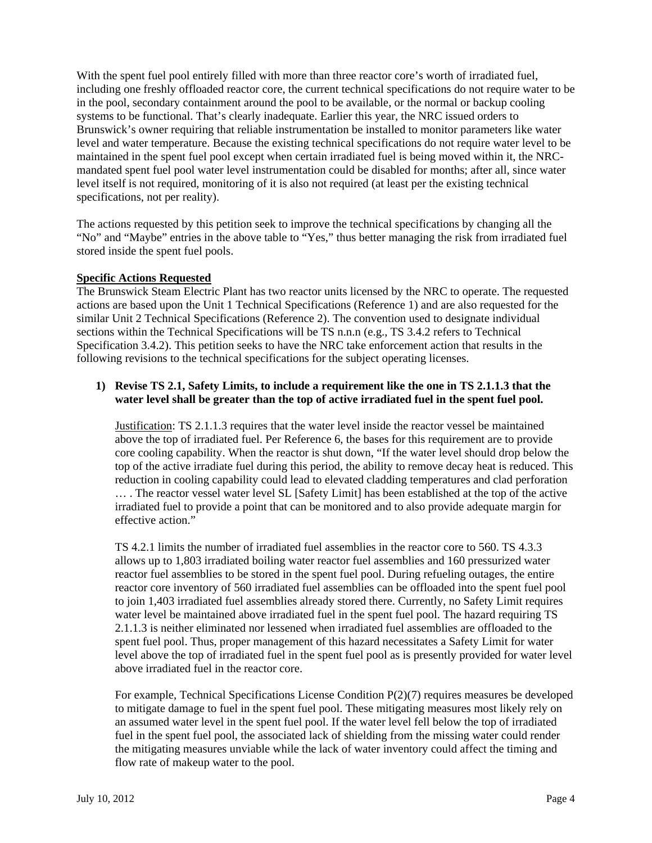With the spent fuel pool entirely filled with more than three reactor core's worth of irradiated fuel, including one freshly offloaded reactor core, the current technical specifications do not require water to be in the pool, secondary containment around the pool to be available, or the normal or backup cooling systems to be functional. That's clearly inadequate. Earlier this year, the NRC issued orders to Brunswick's owner requiring that reliable instrumentation be installed to monitor parameters like water level and water temperature. Because the existing technical specifications do not require water level to be maintained in the spent fuel pool except when certain irradiated fuel is being moved within it, the NRCmandated spent fuel pool water level instrumentation could be disabled for months; after all, since water level itself is not required, monitoring of it is also not required (at least per the existing technical specifications, not per reality).

The actions requested by this petition seek to improve the technical specifications by changing all the "No" and "Maybe" entries in the above table to "Yes," thus better managing the risk from irradiated fuel stored inside the spent fuel pools.

#### **Specific Actions Requested**

The Brunswick Steam Electric Plant has two reactor units licensed by the NRC to operate. The requested actions are based upon the Unit 1 Technical Specifications (Reference 1) and are also requested for the similar Unit 2 Technical Specifications (Reference 2). The convention used to designate individual sections within the Technical Specifications will be TS n.n.n (e.g., TS 3.4.2 refers to Technical Specification 3.4.2). This petition seeks to have the NRC take enforcement action that results in the following revisions to the technical specifications for the subject operating licenses.

#### **1) Revise TS 2.1, Safety Limits, to include a requirement like the one in TS 2.1.1.3 that the water level shall be greater than the top of active irradiated fuel in the spent fuel pool.**

Justification: TS 2.1.1.3 requires that the water level inside the reactor vessel be maintained above the top of irradiated fuel. Per Reference 6, the bases for this requirement are to provide core cooling capability. When the reactor is shut down, "If the water level should drop below the top of the active irradiate fuel during this period, the ability to remove decay heat is reduced. This reduction in cooling capability could lead to elevated cladding temperatures and clad perforation … . The reactor vessel water level SL [Safety Limit] has been established at the top of the active irradiated fuel to provide a point that can be monitored and to also provide adequate margin for effective action."

TS 4.2.1 limits the number of irradiated fuel assemblies in the reactor core to 560. TS 4.3.3 allows up to 1,803 irradiated boiling water reactor fuel assemblies and 160 pressurized water reactor fuel assemblies to be stored in the spent fuel pool. During refueling outages, the entire reactor core inventory of 560 irradiated fuel assemblies can be offloaded into the spent fuel pool to join 1,403 irradiated fuel assemblies already stored there. Currently, no Safety Limit requires water level be maintained above irradiated fuel in the spent fuel pool. The hazard requiring TS 2.1.1.3 is neither eliminated nor lessened when irradiated fuel assemblies are offloaded to the spent fuel pool. Thus, proper management of this hazard necessitates a Safety Limit for water level above the top of irradiated fuel in the spent fuel pool as is presently provided for water level above irradiated fuel in the reactor core.

For example, Technical Specifications License Condition P(2)(7) requires measures be developed to mitigate damage to fuel in the spent fuel pool. These mitigating measures most likely rely on an assumed water level in the spent fuel pool. If the water level fell below the top of irradiated fuel in the spent fuel pool, the associated lack of shielding from the missing water could render the mitigating measures unviable while the lack of water inventory could affect the timing and flow rate of makeup water to the pool.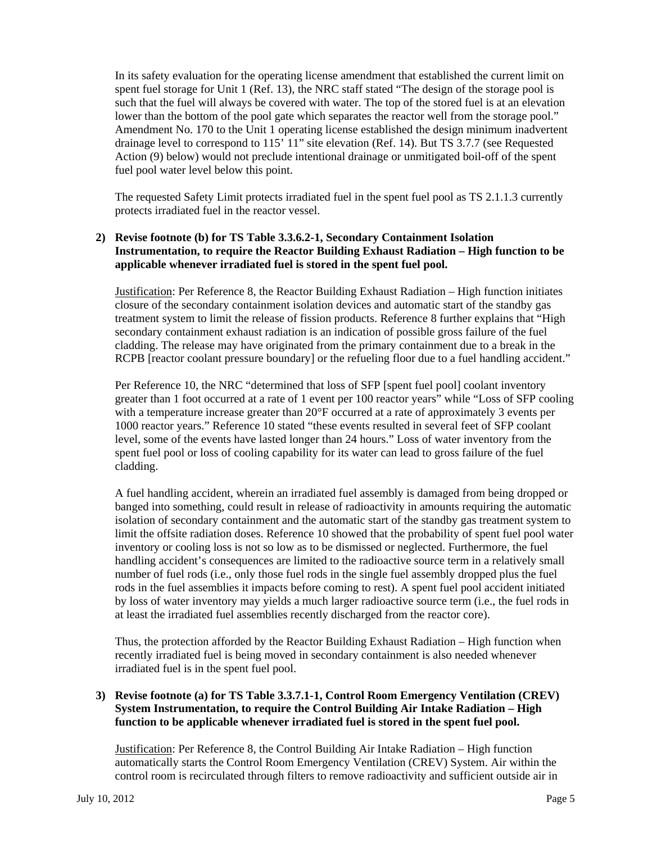In its safety evaluation for the operating license amendment that established the current limit on spent fuel storage for Unit 1 (Ref. 13), the NRC staff stated "The design of the storage pool is such that the fuel will always be covered with water. The top of the stored fuel is at an elevation lower than the bottom of the pool gate which separates the reactor well from the storage pool." Amendment No. 170 to the Unit 1 operating license established the design minimum inadvertent drainage level to correspond to 115' 11" site elevation (Ref. 14). But TS 3.7.7 (see Requested Action (9) below) would not preclude intentional drainage or unmitigated boil-off of the spent fuel pool water level below this point.

The requested Safety Limit protects irradiated fuel in the spent fuel pool as TS 2.1.1.3 currently protects irradiated fuel in the reactor vessel.

#### **2) Revise footnote (b) for TS Table 3.3.6.2-1, Secondary Containment Isolation Instrumentation, to require the Reactor Building Exhaust Radiation – High function to be applicable whenever irradiated fuel is stored in the spent fuel pool.**

Justification: Per Reference 8, the Reactor Building Exhaust Radiation – High function initiates closure of the secondary containment isolation devices and automatic start of the standby gas treatment system to limit the release of fission products. Reference 8 further explains that "High secondary containment exhaust radiation is an indication of possible gross failure of the fuel cladding. The release may have originated from the primary containment due to a break in the RCPB [reactor coolant pressure boundary] or the refueling floor due to a fuel handling accident."

Per Reference 10, the NRC "determined that loss of SFP [spent fuel pool] coolant inventory greater than 1 foot occurred at a rate of 1 event per 100 reactor years" while "Loss of SFP cooling with a temperature increase greater than 20°F occurred at a rate of approximately 3 events per 1000 reactor years." Reference 10 stated "these events resulted in several feet of SFP coolant level, some of the events have lasted longer than 24 hours." Loss of water inventory from the spent fuel pool or loss of cooling capability for its water can lead to gross failure of the fuel cladding.

A fuel handling accident, wherein an irradiated fuel assembly is damaged from being dropped or banged into something, could result in release of radioactivity in amounts requiring the automatic isolation of secondary containment and the automatic start of the standby gas treatment system to limit the offsite radiation doses. Reference 10 showed that the probability of spent fuel pool water inventory or cooling loss is not so low as to be dismissed or neglected. Furthermore, the fuel handling accident's consequences are limited to the radioactive source term in a relatively small number of fuel rods (i.e., only those fuel rods in the single fuel assembly dropped plus the fuel rods in the fuel assemblies it impacts before coming to rest). A spent fuel pool accident initiated by loss of water inventory may yields a much larger radioactive source term (i.e., the fuel rods in at least the irradiated fuel assemblies recently discharged from the reactor core).

Thus, the protection afforded by the Reactor Building Exhaust Radiation – High function when recently irradiated fuel is being moved in secondary containment is also needed whenever irradiated fuel is in the spent fuel pool.

#### **3) Revise footnote (a) for TS Table 3.3.7.1-1, Control Room Emergency Ventilation (CREV) System Instrumentation, to require the Control Building Air Intake Radiation – High function to be applicable whenever irradiated fuel is stored in the spent fuel pool.**

Justification: Per Reference 8, the Control Building Air Intake Radiation – High function automatically starts the Control Room Emergency Ventilation (CREV) System. Air within the control room is recirculated through filters to remove radioactivity and sufficient outside air in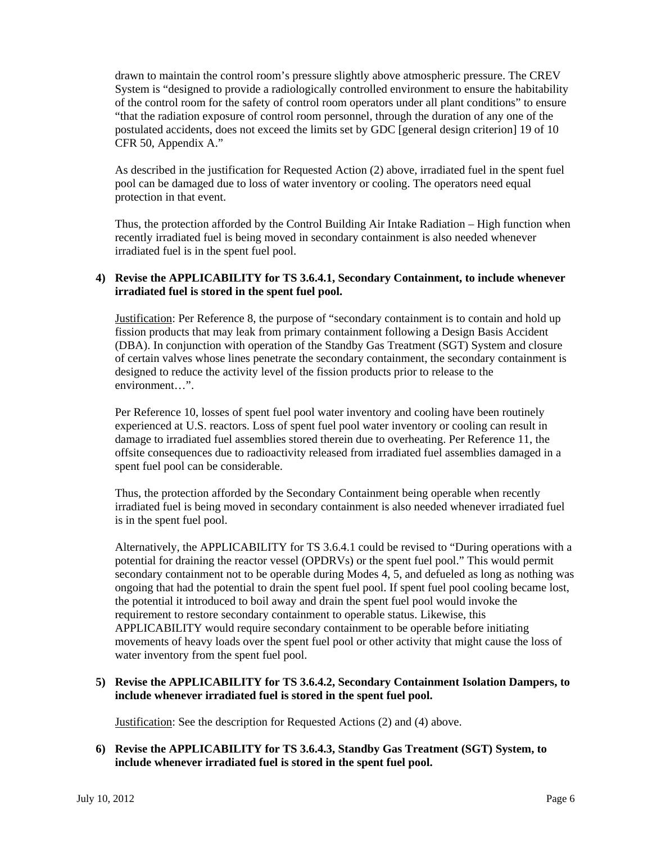drawn to maintain the control room's pressure slightly above atmospheric pressure. The CREV System is "designed to provide a radiologically controlled environment to ensure the habitability of the control room for the safety of control room operators under all plant conditions" to ensure "that the radiation exposure of control room personnel, through the duration of any one of the postulated accidents, does not exceed the limits set by GDC [general design criterion] 19 of 10 CFR 50, Appendix A."

As described in the justification for Requested Action (2) above, irradiated fuel in the spent fuel pool can be damaged due to loss of water inventory or cooling. The operators need equal protection in that event.

Thus, the protection afforded by the Control Building Air Intake Radiation – High function when recently irradiated fuel is being moved in secondary containment is also needed whenever irradiated fuel is in the spent fuel pool.

#### **4) Revise the APPLICABILITY for TS 3.6.4.1, Secondary Containment, to include whenever irradiated fuel is stored in the spent fuel pool.**

Justification: Per Reference 8, the purpose of "secondary containment is to contain and hold up fission products that may leak from primary containment following a Design Basis Accident (DBA). In conjunction with operation of the Standby Gas Treatment (SGT) System and closure of certain valves whose lines penetrate the secondary containment, the secondary containment is designed to reduce the activity level of the fission products prior to release to the environment…".

Per Reference 10, losses of spent fuel pool water inventory and cooling have been routinely experienced at U.S. reactors. Loss of spent fuel pool water inventory or cooling can result in damage to irradiated fuel assemblies stored therein due to overheating. Per Reference 11, the offsite consequences due to radioactivity released from irradiated fuel assemblies damaged in a spent fuel pool can be considerable.

Thus, the protection afforded by the Secondary Containment being operable when recently irradiated fuel is being moved in secondary containment is also needed whenever irradiated fuel is in the spent fuel pool.

Alternatively, the APPLICABILITY for TS 3.6.4.1 could be revised to "During operations with a potential for draining the reactor vessel (OPDRVs) or the spent fuel pool." This would permit secondary containment not to be operable during Modes 4, 5, and defueled as long as nothing was ongoing that had the potential to drain the spent fuel pool. If spent fuel pool cooling became lost, the potential it introduced to boil away and drain the spent fuel pool would invoke the requirement to restore secondary containment to operable status. Likewise, this APPLICABILITY would require secondary containment to be operable before initiating movements of heavy loads over the spent fuel pool or other activity that might cause the loss of water inventory from the spent fuel pool.

#### **5) Revise the APPLICABILITY for TS 3.6.4.2, Secondary Containment Isolation Dampers, to include whenever irradiated fuel is stored in the spent fuel pool.**

Justification: See the description for Requested Actions (2) and (4) above.

#### **6) Revise the APPLICABILITY for TS 3.6.4.3, Standby Gas Treatment (SGT) System, to include whenever irradiated fuel is stored in the spent fuel pool.**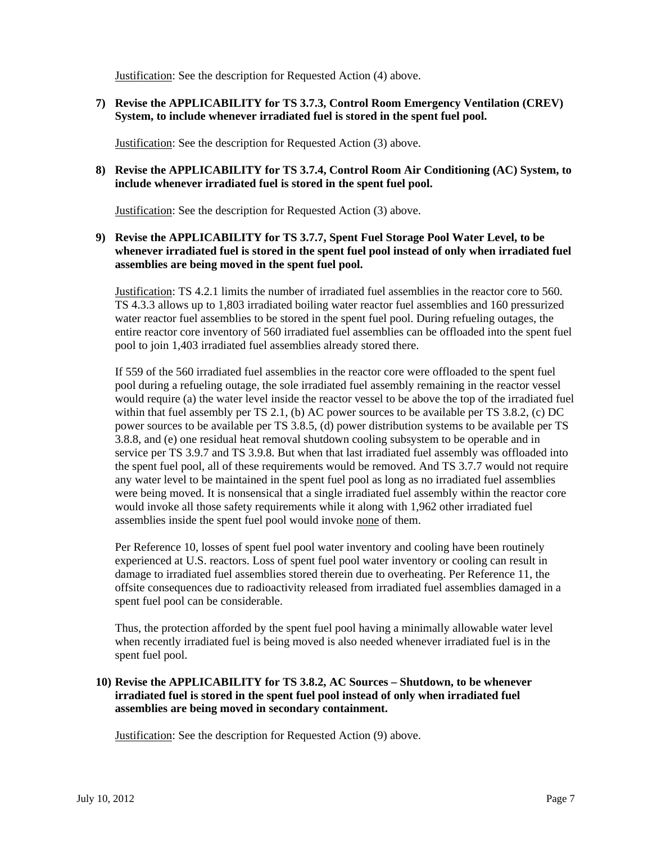Justification: See the description for Requested Action (4) above.

**7) Revise the APPLICABILITY for TS 3.7.3, Control Room Emergency Ventilation (CREV) System, to include whenever irradiated fuel is stored in the spent fuel pool.** 

Justification: See the description for Requested Action (3) above.

#### **8) Revise the APPLICABILITY for TS 3.7.4, Control Room Air Conditioning (AC) System, to include whenever irradiated fuel is stored in the spent fuel pool.**

Justification: See the description for Requested Action (3) above.

#### **9) Revise the APPLICABILITY for TS 3.7.7, Spent Fuel Storage Pool Water Level, to be whenever irradiated fuel is stored in the spent fuel pool instead of only when irradiated fuel assemblies are being moved in the spent fuel pool.**

Justification: TS 4.2.1 limits the number of irradiated fuel assemblies in the reactor core to 560. TS 4.3.3 allows up to 1,803 irradiated boiling water reactor fuel assemblies and 160 pressurized water reactor fuel assemblies to be stored in the spent fuel pool. During refueling outages, the entire reactor core inventory of 560 irradiated fuel assemblies can be offloaded into the spent fuel pool to join 1,403 irradiated fuel assemblies already stored there.

If 559 of the 560 irradiated fuel assemblies in the reactor core were offloaded to the spent fuel pool during a refueling outage, the sole irradiated fuel assembly remaining in the reactor vessel would require (a) the water level inside the reactor vessel to be above the top of the irradiated fuel within that fuel assembly per TS 2.1, (b) AC power sources to be available per TS 3.8.2, (c) DC power sources to be available per TS 3.8.5, (d) power distribution systems to be available per TS 3.8.8, and (e) one residual heat removal shutdown cooling subsystem to be operable and in service per TS 3.9.7 and TS 3.9.8. But when that last irradiated fuel assembly was offloaded into the spent fuel pool, all of these requirements would be removed. And TS 3.7.7 would not require any water level to be maintained in the spent fuel pool as long as no irradiated fuel assemblies were being moved. It is nonsensical that a single irradiated fuel assembly within the reactor core would invoke all those safety requirements while it along with 1,962 other irradiated fuel assemblies inside the spent fuel pool would invoke none of them.

Per Reference 10, losses of spent fuel pool water inventory and cooling have been routinely experienced at U.S. reactors. Loss of spent fuel pool water inventory or cooling can result in damage to irradiated fuel assemblies stored therein due to overheating. Per Reference 11, the offsite consequences due to radioactivity released from irradiated fuel assemblies damaged in a spent fuel pool can be considerable.

Thus, the protection afforded by the spent fuel pool having a minimally allowable water level when recently irradiated fuel is being moved is also needed whenever irradiated fuel is in the spent fuel pool.

#### **10) Revise the APPLICABILITY for TS 3.8.2, AC Sources – Shutdown, to be whenever irradiated fuel is stored in the spent fuel pool instead of only when irradiated fuel assemblies are being moved in secondary containment.**

Justification: See the description for Requested Action (9) above.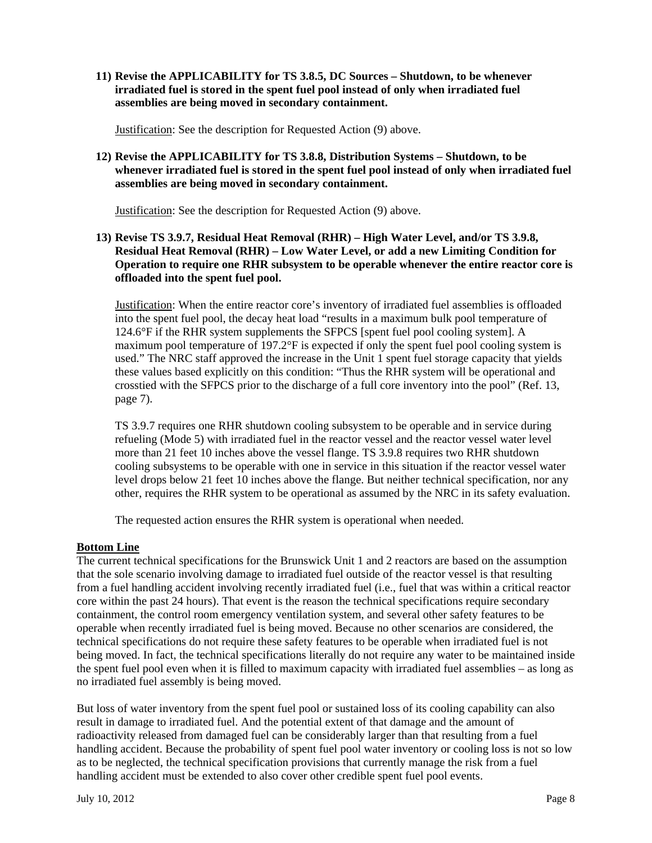**11) Revise the APPLICABILITY for TS 3.8.5, DC Sources – Shutdown, to be whenever irradiated fuel is stored in the spent fuel pool instead of only when irradiated fuel assemblies are being moved in secondary containment.** 

Justification: See the description for Requested Action (9) above.

**12) Revise the APPLICABILITY for TS 3.8.8, Distribution Systems – Shutdown, to be whenever irradiated fuel is stored in the spent fuel pool instead of only when irradiated fuel assemblies are being moved in secondary containment.** 

Justification: See the description for Requested Action (9) above.

#### **13) Revise TS 3.9.7, Residual Heat Removal (RHR) – High Water Level, and/or TS 3.9.8, Residual Heat Removal (RHR) – Low Water Level, or add a new Limiting Condition for Operation to require one RHR subsystem to be operable whenever the entire reactor core is offloaded into the spent fuel pool.**

Justification: When the entire reactor core's inventory of irradiated fuel assemblies is offloaded into the spent fuel pool, the decay heat load "results in a maximum bulk pool temperature of 124.6°F if the RHR system supplements the SFPCS [spent fuel pool cooling system]. A maximum pool temperature of 197.2 $\mathrm{P}$  is expected if only the spent fuel pool cooling system is used." The NRC staff approved the increase in the Unit 1 spent fuel storage capacity that yields these values based explicitly on this condition: "Thus the RHR system will be operational and crosstied with the SFPCS prior to the discharge of a full core inventory into the pool" (Ref. 13, page 7).

TS 3.9.7 requires one RHR shutdown cooling subsystem to be operable and in service during refueling (Mode 5) with irradiated fuel in the reactor vessel and the reactor vessel water level more than 21 feet 10 inches above the vessel flange. TS 3.9.8 requires two RHR shutdown cooling subsystems to be operable with one in service in this situation if the reactor vessel water level drops below 21 feet 10 inches above the flange. But neither technical specification, nor any other, requires the RHR system to be operational as assumed by the NRC in its safety evaluation.

The requested action ensures the RHR system is operational when needed.

#### **Bottom Line**

The current technical specifications for the Brunswick Unit 1 and 2 reactors are based on the assumption that the sole scenario involving damage to irradiated fuel outside of the reactor vessel is that resulting from a fuel handling accident involving recently irradiated fuel (i.e., fuel that was within a critical reactor core within the past 24 hours). That event is the reason the technical specifications require secondary containment, the control room emergency ventilation system, and several other safety features to be operable when recently irradiated fuel is being moved. Because no other scenarios are considered, the technical specifications do not require these safety features to be operable when irradiated fuel is not being moved. In fact, the technical specifications literally do not require any water to be maintained inside the spent fuel pool even when it is filled to maximum capacity with irradiated fuel assemblies – as long as no irradiated fuel assembly is being moved.

But loss of water inventory from the spent fuel pool or sustained loss of its cooling capability can also result in damage to irradiated fuel. And the potential extent of that damage and the amount of radioactivity released from damaged fuel can be considerably larger than that resulting from a fuel handling accident. Because the probability of spent fuel pool water inventory or cooling loss is not so low as to be neglected, the technical specification provisions that currently manage the risk from a fuel handling accident must be extended to also cover other credible spent fuel pool events.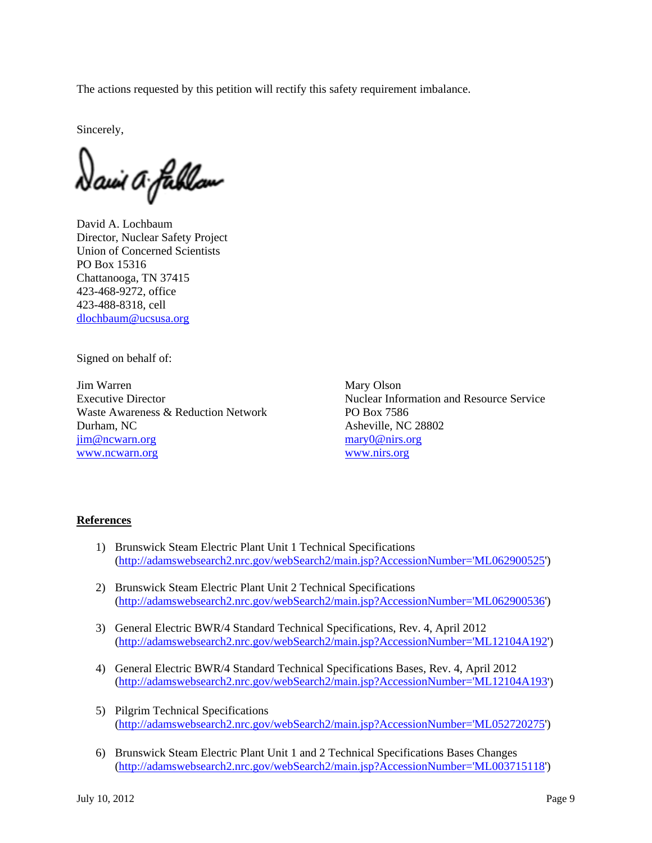The actions requested by this petition will rectify this safety requirement imbalance.

Sincerely,

Dawi A fublou

David A. Lochbaum Director, Nuclear Safety Project Union of Concerned Scientists PO Box 15316 Chattanooga, TN 37415 423-468-9272, office 423-488-8318, cell dlochbaum@ucsusa.org

Signed on behalf of:

Jim Warren Mary Olson Waste Awareness & Reduction Network PO Box 7586 Durham, NC Asheville, NC 28802 jim@ncwarn.org mary0@nirs.org www.ncwarn.org www.nirs.org

Executive Director Nuclear Information and Resource Service

#### **References**

- 1) Brunswick Steam Electric Plant Unit 1 Technical Specifications (http://adamswebsearch2.nrc.gov/webSearch2/main.jsp?AccessionNumber='ML062900525')
- 2) Brunswick Steam Electric Plant Unit 2 Technical Specifications (http://adamswebsearch2.nrc.gov/webSearch2/main.jsp?AccessionNumber='ML062900536')
- 3) General Electric BWR/4 Standard Technical Specifications, Rev. 4, April 2012 (http://adamswebsearch2.nrc.gov/webSearch2/main.jsp?AccessionNumber='ML12104A192')
- 4) General Electric BWR/4 Standard Technical Specifications Bases, Rev. 4, April 2012 (http://adamswebsearch2.nrc.gov/webSearch2/main.jsp?AccessionNumber='ML12104A193')
- 5) Pilgrim Technical Specifications (http://adamswebsearch2.nrc.gov/webSearch2/main.jsp?AccessionNumber='ML052720275')
- 6) Brunswick Steam Electric Plant Unit 1 and 2 Technical Specifications Bases Changes (http://adamswebsearch2.nrc.gov/webSearch2/main.jsp?AccessionNumber='ML003715118')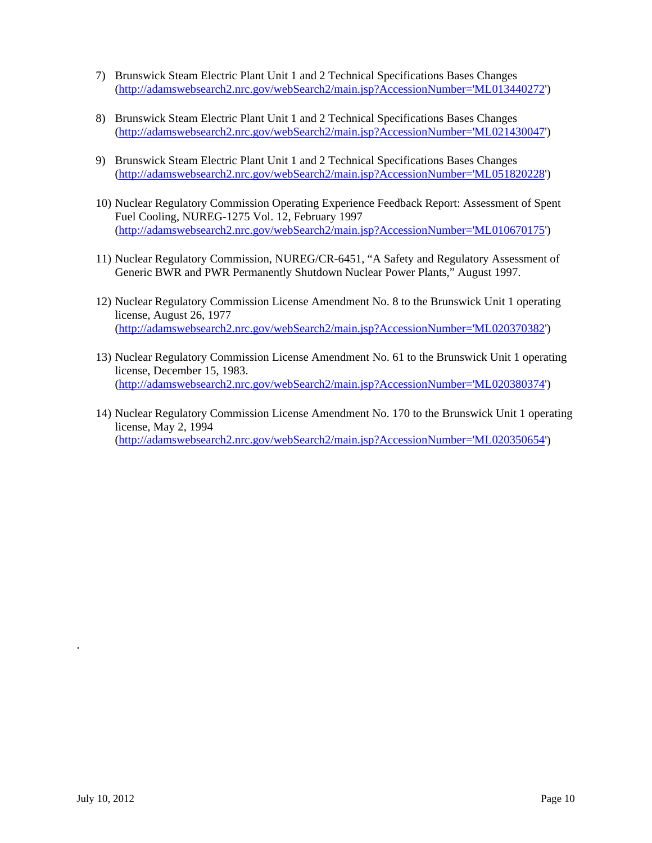- 7) Brunswick Steam Electric Plant Unit 1 and 2 Technical Specifications Bases Changes (http://adamswebsearch2.nrc.gov/webSearch2/main.jsp?AccessionNumber='ML013440272')
- 8) Brunswick Steam Electric Plant Unit 1 and 2 Technical Specifications Bases Changes (http://adamswebsearch2.nrc.gov/webSearch2/main.jsp?AccessionNumber='ML021430047')
- 9) Brunswick Steam Electric Plant Unit 1 and 2 Technical Specifications Bases Changes (http://adamswebsearch2.nrc.gov/webSearch2/main.jsp?AccessionNumber='ML051820228')
- 10) Nuclear Regulatory Commission Operating Experience Feedback Report: Assessment of Spent Fuel Cooling, NUREG-1275 Vol. 12, February 1997 (http://adamswebsearch2.nrc.gov/webSearch2/main.jsp?AccessionNumber='ML010670175')
- 11) Nuclear Regulatory Commission, NUREG/CR-6451, "A Safety and Regulatory Assessment of Generic BWR and PWR Permanently Shutdown Nuclear Power Plants," August 1997.
- 12) Nuclear Regulatory Commission License Amendment No. 8 to the Brunswick Unit 1 operating license, August 26, 1977 (http://adamswebsearch2.nrc.gov/webSearch2/main.jsp?AccessionNumber='ML020370382')
- 13) Nuclear Regulatory Commission License Amendment No. 61 to the Brunswick Unit 1 operating license, December 15, 1983. (http://adamswebsearch2.nrc.gov/webSearch2/main.jsp?AccessionNumber='ML020380374')
- 14) Nuclear Regulatory Commission License Amendment No. 170 to the Brunswick Unit 1 operating license, May 2, 1994 (http://adamswebsearch2.nrc.gov/webSearch2/main.jsp?AccessionNumber='ML020350654')

.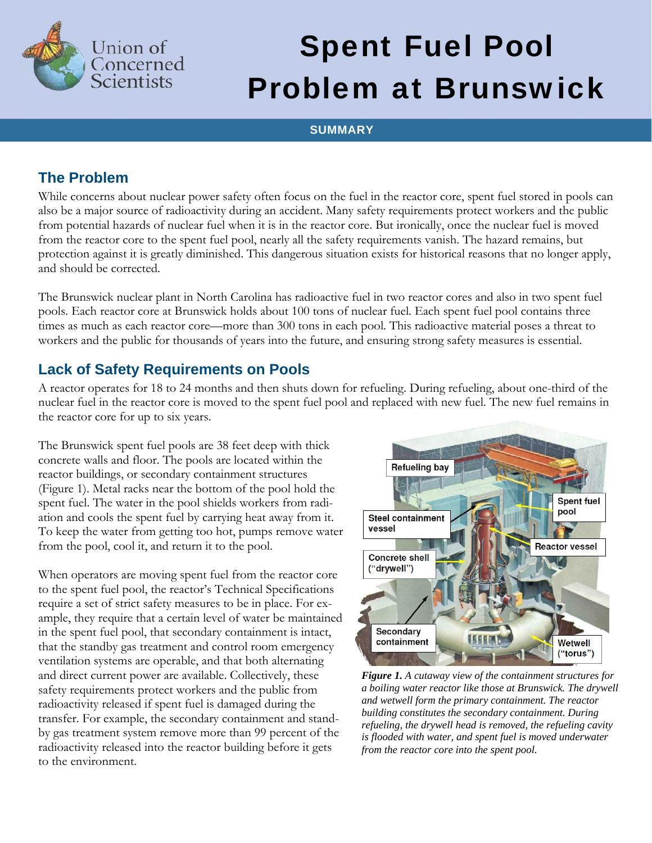

# Spent Fuel Pool Problem at Brunswick

### **SUMMARY**

## **The Problem**

While concerns about nuclear power safety often focus on the fuel in the reactor core, spent fuel stored in pools can also be a major source of radioactivity during an accident. Many safety requirements protect workers and the public from potential hazards of nuclear fuel when it is in the reactor core. But ironically, once the nuclear fuel is moved from the reactor core to the spent fuel pool, nearly all the safety requirements vanish. The hazard remains, but protection against it is greatly diminished. This dangerous situation exists for historical reasons that no longer apply, and should be corrected.

The Brunswick nuclear plant in North Carolina has radioactive fuel in two reactor cores and also in two spent fuel pools. Each reactor core at Brunswick holds about 100 tons of nuclear fuel. Each spent fuel pool contains three times as much as each reactor core—more than 300 tons in each pool. This radioactive material poses a threat to workers and the public for thousands of years into the future, and ensuring strong safety measures is essential.

## **Lack of Safety Requirements on Pools**

A reactor operates for 18 to 24 months and then shuts down for refueling. During refueling, about one-third of the nuclear fuel in the reactor core is moved to the spent fuel pool and replaced with new fuel. The new fuel remains in the reactor core for up to six years.

The Brunswick spent fuel pools are 38 feet deep with thick concrete walls and floor. The pools are located within the reactor buildings, or secondary containment structures (Figure 1). Metal racks near the bottom of the pool hold the spent fuel. The water in the pool shields workers from radiation and cools the spent fuel by carrying heat away from it. To keep the water from getting too hot, pumps remove water from the pool, cool it, and return it to the pool.

When operators are moving spent fuel from the reactor core to the spent fuel pool, the reactor's Technical Specifications require a set of strict safety measures to be in place. For example, they require that a certain level of water be maintained in the spent fuel pool, that secondary containment is intact, that the standby gas treatment and control room emergency ventilation systems are operable, and that both alternating and direct current power are available. Collectively, these safety requirements protect workers and the public from radioactivity released if spent fuel is damaged during the transfer. For example, the secondary containment and standby gas treatment system remove more than 99 percent of the radioactivity released into the reactor building before it gets to the environment.



*Figure 1. A cutaway view of the containment structures for a boiling water reactor like those at Brunswick. The drywell and wetwell form the primary containment. The reactor building constitutes the secondary containment. During refueling, the drywell head is removed, the refueling cavity is flooded with water, and spent fuel is moved underwater from the reactor core into the spent pool.*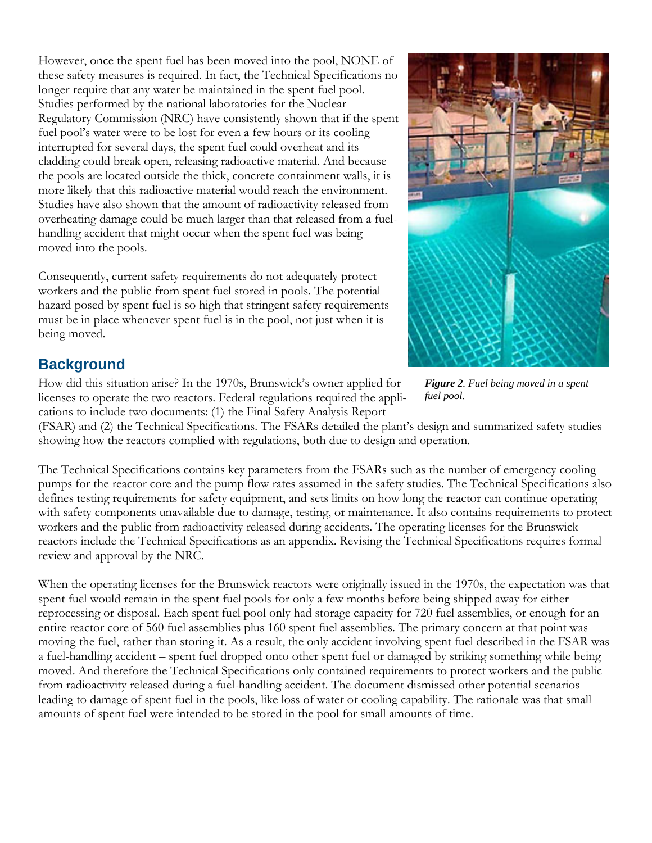However, once the spent fuel has been moved into the pool, NONE of these safety measures is required. In fact, the Technical Specifications no longer require that any water be maintained in the spent fuel pool. Studies performed by the national laboratories for the Nuclear Regulatory Commission (NRC) have consistently shown that if the spent fuel pool's water were to be lost for even a few hours or its cooling interrupted for several days, the spent fuel could overheat and its cladding could break open, releasing radioactive material. And because the pools are located outside the thick, concrete containment walls, it is more likely that this radioactive material would reach the environment. Studies have also shown that the amount of radioactivity released from overheating damage could be much larger than that released from a fuelhandling accident that might occur when the spent fuel was being moved into the pools.

Consequently, current safety requirements do not adequately protect workers and the public from spent fuel stored in pools. The potential hazard posed by spent fuel is so high that stringent safety requirements must be in place whenever spent fuel is in the pool, not just when it is being moved.



## **Background**

How did this situation arise? In the 1970s, Brunswick's owner applied for licenses to operate the two reactors. Federal regulations required the applications to include two documents: (1) the Final Safety Analysis Report

*Figure 2. Fuel being moved in a spent fuel pool.* 

(FSAR) and (2) the Technical Specifications. The FSARs detailed the plant's design and summarized safety studies showing how the reactors complied with regulations, both due to design and operation.

The Technical Specifications contains key parameters from the FSARs such as the number of emergency cooling pumps for the reactor core and the pump flow rates assumed in the safety studies. The Technical Specifications also defines testing requirements for safety equipment, and sets limits on how long the reactor can continue operating with safety components unavailable due to damage, testing, or maintenance. It also contains requirements to protect workers and the public from radioactivity released during accidents. The operating licenses for the Brunswick reactors include the Technical Specifications as an appendix. Revising the Technical Specifications requires formal review and approval by the NRC.

When the operating licenses for the Brunswick reactors were originally issued in the 1970s, the expectation was that spent fuel would remain in the spent fuel pools for only a few months before being shipped away for either reprocessing or disposal. Each spent fuel pool only had storage capacity for 720 fuel assemblies, or enough for an entire reactor core of 560 fuel assemblies plus 160 spent fuel assemblies. The primary concern at that point was moving the fuel, rather than storing it. As a result, the only accident involving spent fuel described in the FSAR was a fuel-handling accident – spent fuel dropped onto other spent fuel or damaged by striking something while being moved. And therefore the Technical Specifications only contained requirements to protect workers and the public from radioactivity released during a fuel-handling accident. The document dismissed other potential scenarios leading to damage of spent fuel in the pools, like loss of water or cooling capability. The rationale was that small amounts of spent fuel were intended to be stored in the pool for small amounts of time.